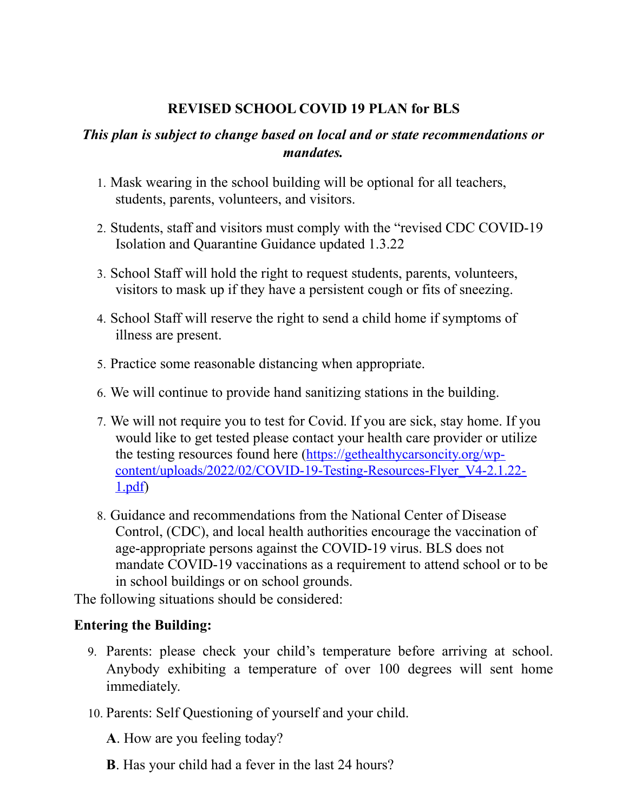# **REVISED SCHOOL COVID 19 PLAN for BLS**

## *This plan is subject to change based on local and or state recommendations or mandates.*

- 1. Mask wearing in the school building will be optional for all teachers, students, parents, volunteers, and visitors.
- 2. Students, staff and visitors must comply with the "revised CDC COVID-19 Isolation and Quarantine Guidance updated 1.3.22
- 3. School Staff will hold the right to request students, parents, volunteers, visitors to mask up if they have a persistent cough or fits of sneezing.
- 4. School Staff will reserve the right to send a child home if symptoms of illness are present.
- 5. Practice some reasonable distancing when appropriate.
- 6. We will continue to provide hand sanitizing stations in the building.
- 7. We will not require you to test for Covid. If you are sick, stay home. If you would like to get tested please contact your health care provider or utilize the testing resources found here [\(https://gethealthycarsoncity.org/wp](https://gethealthycarsoncity.org/wp-content/uploads/2022/02/COVID-19-Testing-Resources-Flyer_V4-2.1.22-1.pdf)[content/uploads/2022/02/COVID-19-Testing-Resources-Flyer\\_V4-2.1.22-](https://gethealthycarsoncity.org/wp-content/uploads/2022/02/COVID-19-Testing-Resources-Flyer_V4-2.1.22-1.pdf) [1.pdf\)](https://gethealthycarsoncity.org/wp-content/uploads/2022/02/COVID-19-Testing-Resources-Flyer_V4-2.1.22-1.pdf)
- 8. Guidance and recommendations from the National Center of Disease Control, (CDC), and local health authorities encourage the vaccination of age-appropriate persons against the COVID-19 virus. BLS does not mandate COVID-19 vaccinations as a requirement to attend school or to be in school buildings or on school grounds.

The following situations should be considered:

## **Entering the Building:**

- 9. Parents: please check your child's temperature before arriving at school. Anybody exhibiting a temperature of over 100 degrees will sent home immediately.
- 10. Parents: Self Questioning of yourself and your child.
	- **A**. How are you feeling today?
	- **B**. Has your child had a fever in the last 24 hours?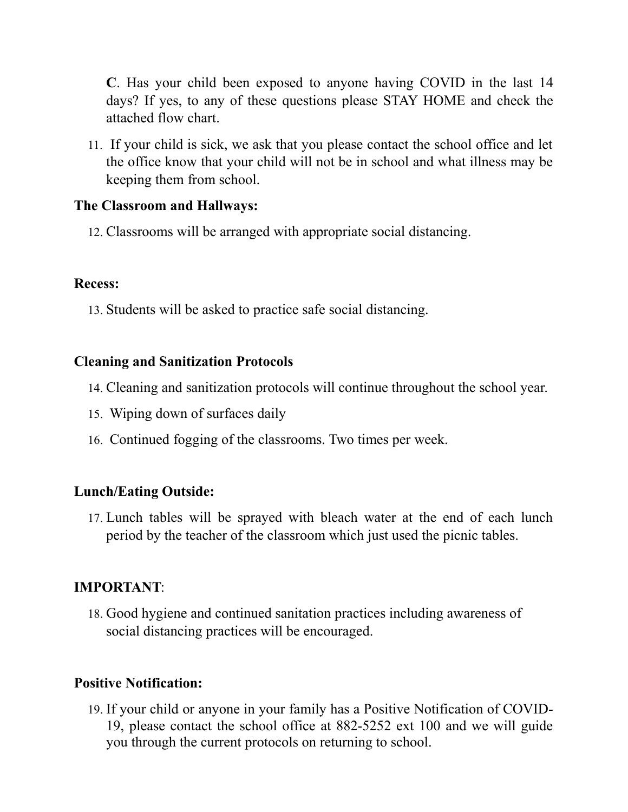**C**. Has your child been exposed to anyone having COVID in the last 14 days? If yes, to any of these questions please STAY HOME and check the attached flow chart.

11. If your child is sick, we ask that you please contact the school office and let the office know that your child will not be in school and what illness may be keeping them from school.

#### **The Classroom and Hallways:**

12. Classrooms will be arranged with appropriate social distancing.

## **Recess:**

13. Students will be asked to practice safe social distancing.

### **Cleaning and Sanitization Protocols**

- 14. Cleaning and sanitization protocols will continue throughout the school year.
- 15. Wiping down of surfaces daily
- 16. Continued fogging of the classrooms. Two times per week.

## **Lunch/Eating Outside:**

17. Lunch tables will be sprayed with bleach water at the end of each lunch period by the teacher of the classroom which just used the picnic tables.

## **IMPORTANT**:

18. Good hygiene and continued sanitation practices including awareness of social distancing practices will be encouraged.

## **Positive Notification:**

19. If your child or anyone in your family has a Positive Notification of COVID-19, please contact the school office at 882-5252 ext 100 and we will guide you through the current protocols on returning to school.